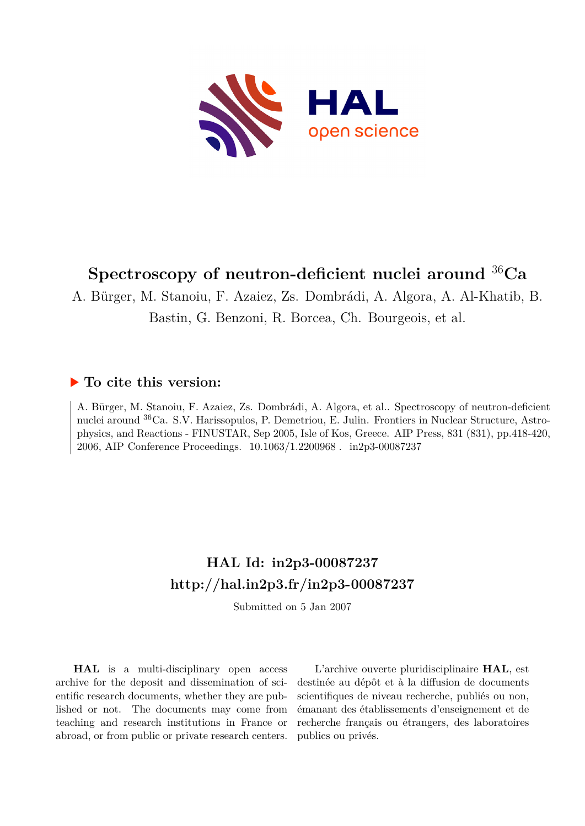

# **Spectroscopy of neutron-deficient nuclei around** <sup>36</sup>**Ca**

A. Bürger, M. Stanoiu, F. Azaiez, Zs. Dombrádi, A. Algora, A. Al-Khatib, B. Bastin, G. Benzoni, R. Borcea, Ch. Bourgeois, et al.

#### **To cite this version:**

A. Bürger, M. Stanoiu, F. Azaiez, Zs. Dombrádi, A. Algora, et al.. Spectroscopy of neutron-deficient nuclei around <sup>36</sup>Ca. S.V. Harissopulos, P. Demetriou, E. Julin. Frontiers in Nuclear Structure, Astrophysics, and Reactions - FINUSTAR, Sep 2005, Isle of Kos, Greece. AIP Press, 831 (831), pp.418-420, 2006, AIP Conference Proceedings. 10.1063/1.2200968. in2p3-00087237

## **HAL Id: in2p3-00087237 <http://hal.in2p3.fr/in2p3-00087237>**

Submitted on 5 Jan 2007

**HAL** is a multi-disciplinary open access archive for the deposit and dissemination of scientific research documents, whether they are published or not. The documents may come from teaching and research institutions in France or abroad, or from public or private research centers.

L'archive ouverte pluridisciplinaire **HAL**, est destinée au dépôt et à la diffusion de documents scientifiques de niveau recherche, publiés ou non, émanant des établissements d'enseignement et de recherche français ou étrangers, des laboratoires publics ou privés.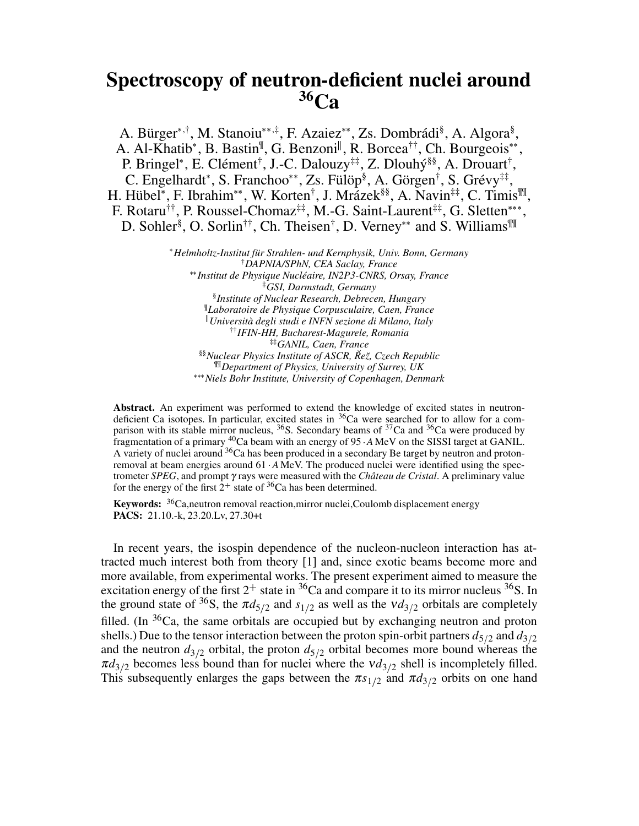### **Spectroscopy of neutron-deficient nuclei around <sup>36</sup>Ca**

A. Bürger\*,†, M. Stanoiu\*\*,‡, F. Azaiez\*\*, Zs. Dombrádi<sup>§</sup>, A. Algora<sup>§</sup>, A. Al-Khatib\*, B. Bastin<sup>¶</sup>, G. Benzoni<sup>||</sup>, R. Borcea<sup>††</sup>, Ch. Bourgeois\*\*, P. Bringel\*, E. Clément<sup>†</sup>, J.-C. Dalouzy<sup>‡‡</sup>, Z. Dlouhý<sup>§§</sup>, A. Drouart<sup>†</sup>, C. Engelhardt\*, S. Franchoo\*\*, Zs. Fülöp<sup>§</sup>, A. Görgen<sup>†</sup>, S. Grévy<sup>‡‡</sup>, H. Hübel\*, F. Ibrahim\*\*, W. Korten<sup>†</sup>, J. Mrázek<sup>§§</sup>, A. Navin<sup>‡‡</sup>, C. Timis<sup>¶</sup>, F. Rotaru<sup>††</sup>, P. Roussel-Chomaz<sup>‡‡</sup>, M.-G. Saint-Laurent<sup>‡‡</sup>, G. Sletten\*\*\*, D. Sohler<sup>§</sup>, O. Sorlin<sup>††</sup>, Ch. Theisen<sup>†</sup>, D. Verney\*\* and S. Williams<sup>¶¶</sup>

> *Helmholtz-Institut für Strahlen- und Kernphysik, Univ. Bonn, Germany* †*DAPNIA/SPhN, CEA Saclay, France Institut de Physique Nucléaire, IN2P3-CNRS, Orsay, France* ‡*GSI, Darmstadt, Germany* § *Institute of Nuclear Research, Debrecen, Hungary* ¶ *Laboratoire de Physique Corpusculaire, Caen, France Università degli studi e INFN sezione di Milano, Italy* ††*IFIN-HH, Bucharest-Magurele, Romania* ‡‡*GANIL, Caen, France* §§*Nuclear Physics Institute of ASCR, Re˘ z,˘ Czech Republic* ¶¶*Department of Physics, University of Surrey, UK Niels Bohr Institute, University of Copenhagen, Denmark*

**Abstract.** An experiment was performed to extend the knowledge of excited states in neutrondeficient Ca isotopes. In particular, excited states in <sup>36</sup>Ca were searched for to allow for a comparison with its stable mirror nucleus,  $36S$ . Secondary beams of  $37Ca$  and  $36Ca$  were produced by fragmentation of a primary <sup>40</sup>Ca beam with an energy of 95  $\cdot$  *A* MeV on the SISSI target at GANIL. A variety of nuclei around <sup>36</sup>Ca has been produced in a secondary Be target by neutron and protonremoval at beam energies around 61  $\cdot$  *A* MeV. The produced nuclei were identified using the spectrometer *SPEG*, and prompt γ rays were measured with the *Château de Cristal*. A preliminary value for the energy of the first  $2^+$  state of <sup>36</sup>Ca has been determined.

**Keywords:** <sup>36</sup>Ca,neutron removal reaction,mirror nuclei,Coulomb displacement energy **PACS:** 21.10.-k, 23.20.Lv, 27.30+t

In recent years, the isospin dependence of the nucleon-nucleon interaction has attracted much interest both from theory [1] and, since exotic beams become more and more available, from experimental works. The present experiment aimed to measure the excitation energy of the first  $2^+$  state in  ${}^{36}Ca$  and compare it to its mirror nucleus  ${}^{36}S$ . In the ground state of <sup>36</sup>S, the  $\pi d_{5/2}$  and  $s_{1/2}$  as well as the  $v d_{3/2}$  orbitals are completely filled. (In  $36$ Ca, the same orbitals are occupied but by exchanging neutron and proton shells.) Due to the tensor interaction between the proton spin-orbit partners  $d_{5/2}$  and  $d_{3/2}$ and the neutron  $d_{3/2}$  orbital, the proton  $d_{5/2}$  orbital becomes more bound whereas the  $\pi d_{3/2}$  becomes less bound than for nuclei where the  $vd_{3/2}$  shell is incompletely filled. This subsequently enlarges the gaps between the  $\pi s_{1/2}$  and  $\pi d_{3/2}$  orbits on one hand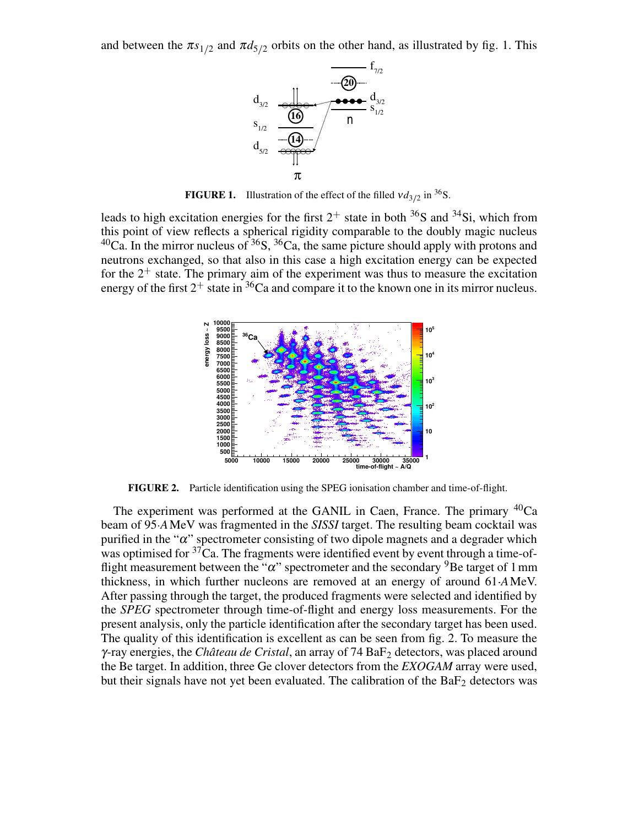and between the  $\pi s_{1/2}$  and  $\pi d_{5/2}$  orbits on the other hand, as illustrated by fig. 1. This



**FIGURE 1.** Illustration of the effect of the filled  $vd_{3/2}$  in <sup>36</sup>S.

leads to high excitation energies for the first  $2^+$  state in both <sup>36</sup>S and <sup>34</sup>Si, which from this point of view reflects a spherical rigidity comparable to the doubly magic nucleus  $^{40}$ Ca. In the mirror nucleus of  $^{36}S$ ,  $^{36}Ca$ , the same picture should apply with protons and neutrons exchanged, so that also in this case a high excitation energy can be expected for the  $2^+$  state. The primary aim of the experiment was thus to measure the excitation energy of the first  $2^+$  state in <sup>36</sup>Ca and compare it to the known one in its mirror nucleus.



**FIGURE 2.** Particle identification using the SPEG ionisation chamber and time-of-flight.

The experiment was performed at the GANIL in Caen, France. The primary  $^{40}Ca$ beam of 95 *A*MeV was fragmented in the *SISSI* target. The resulting beam cocktail was purified in the " $\alpha$ " spectrometer consisting of two dipole magnets and a degrader which was optimised for  $37$ Ca. The fragments were identified event by event through a time-offlight measurement between the " $\alpha$ " spectrometer and the secondary <sup>9</sup>Be target of 1 mm thickness, in which further nucleons are removed at an energy of around 61 *A*MeV. After passing through the target, the produced fragments were selected and identified by the *SPEG* spectrometer through time-of-flight and energy loss measurements. For the present analysis, only the particle identification after the secondary target has been used. The quality of this identification is excellent as can be seen from fig. 2. To measure the <sup>γ</sup>-ray energies, the *Château de Cristal*, an array of 74 BaF<sup>2</sup> detectors, was placed around the Be target. In addition, three Ge clover detectors from the *EXOGAM* array were used, but their signals have not yet been evaluated. The calibration of the  $BaF<sub>2</sub>$  detectors was